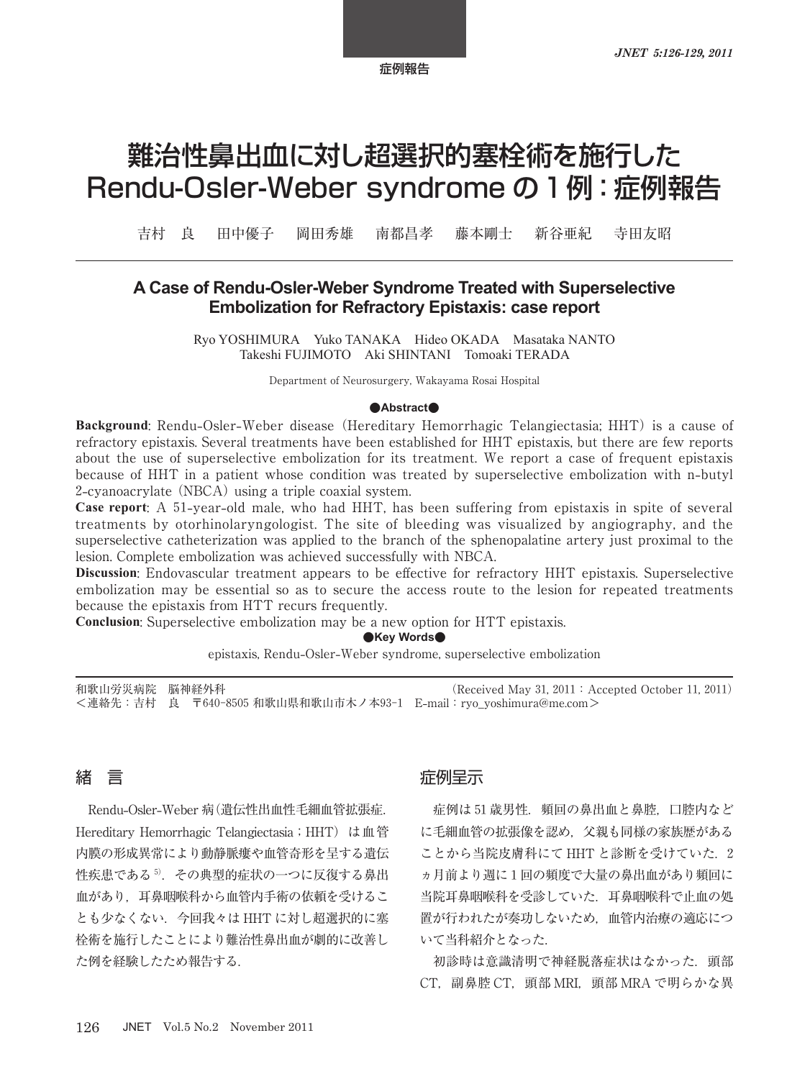# 難治性鼻出血に対し超選択的塞栓術を施行した Rendu-Osler-Weber syndrome の 1 例:症例報告

吉村 良 田中優子 岡田秀雄 南都昌孝 藤本剛士 新谷亜紀 寺田友昭

## **A Case of Rendu-Osler-Weber Syndrome Treated with Superselective Embolization for Refractory Epistaxis: case report**

Ryo YOSHIMURA Yuko TANAKA Hideo OKADA Masataka NANTO Takeshi FUJIMOTO Aki SHINTANI Tomoaki TERADA

Department of Neurosurgery, Wakayama Rosai Hospital

#### **●Abstract●**

**Background**: Rendu**-**Osler**-**Weber disease (Hereditary Hemorrhagic Telangiectasia; HHT) is a cause of refractory epistaxis. Several treatments have been established for HHT epistaxis, but there are few reports about the use of superselective embolization for its treatment. We report a case of frequent epistaxis because of HHT in a patient whose condition was treated by superselective embolization with n**-**butyl 2**-**cyanoacrylate (NBCA) using a triple coaxial system.

**Case report**: A 51**-**year**-**old male, who had HHT, has been suffering from epistaxis in spite of several treatments by otorhinolaryngologist. The site of bleeding was visualized by angiography, and the superselective catheterization was applied to the branch of the sphenopalatine artery just proximal to the lesion. Complete embolization was achieved successfully with NBCA.

**Discussion**: Endovascular treatment appears to be effective for refractory HHT epistaxis. Superselective embolization may be essential so as to secure the access route to the lesion for repeated treatments because the epistaxis from HTT recurs frequently.

**Conclusion**: Superselective embolization may be a new option for HTT epistaxis.

**●Key Words●**

epistaxis, Rendu**-**Osler**-**Weber syndrome, superselective embolization

和歌山労災病院 脳神経外科 (Received May 31, 2011: Accepted October 11, 2011) <連絡先:吉村 良 〒640-8505 和歌山県和歌山市木ノ本93-1 E**-**mail:ryo\_yoshimura@me.com>

## 緒 言

Rendu**-**Osler**-**Weber 病(遺伝性出血性毛細血管拡張症. Hereditary Hemorrhagic Telangiectasia; HHT) は血管 内膜の形成異常により動静脈瘻や血管奇形を呈する遺伝 性疾患である5). その典型的症状の一つに反復する鼻出 血があり,耳鼻咽喉科から血管内手術の依頼を受けるこ とも少なくない.今回我々は HHT に対し超選択的に塞 栓術を施行したことにより難治性鼻出血が劇的に改善し た例を経験したため報告する.

#### 症例呈示

症例は 51 歳男性. 頻回の鼻出血と鼻腔, 口腔内など に毛細血管の拡張像を認め,父親も同様の家族歴がある ことから当院皮膚科にて HHT と診断を受けていた. 2 ヵ月前より週に 1 回の頻度で大量の鼻出血があり頻回に 当院耳鼻咽喉科を受診していた.耳鼻咽喉科で止血の処 置が行われたが奏功しないため,血管内治療の適応につ いて当科紹介となった.

初診時は意識清明で神経脱落症状はなかった.頭部 CT,副鼻腔 CT,頭部 MRI,頭部 MRA で明らかな異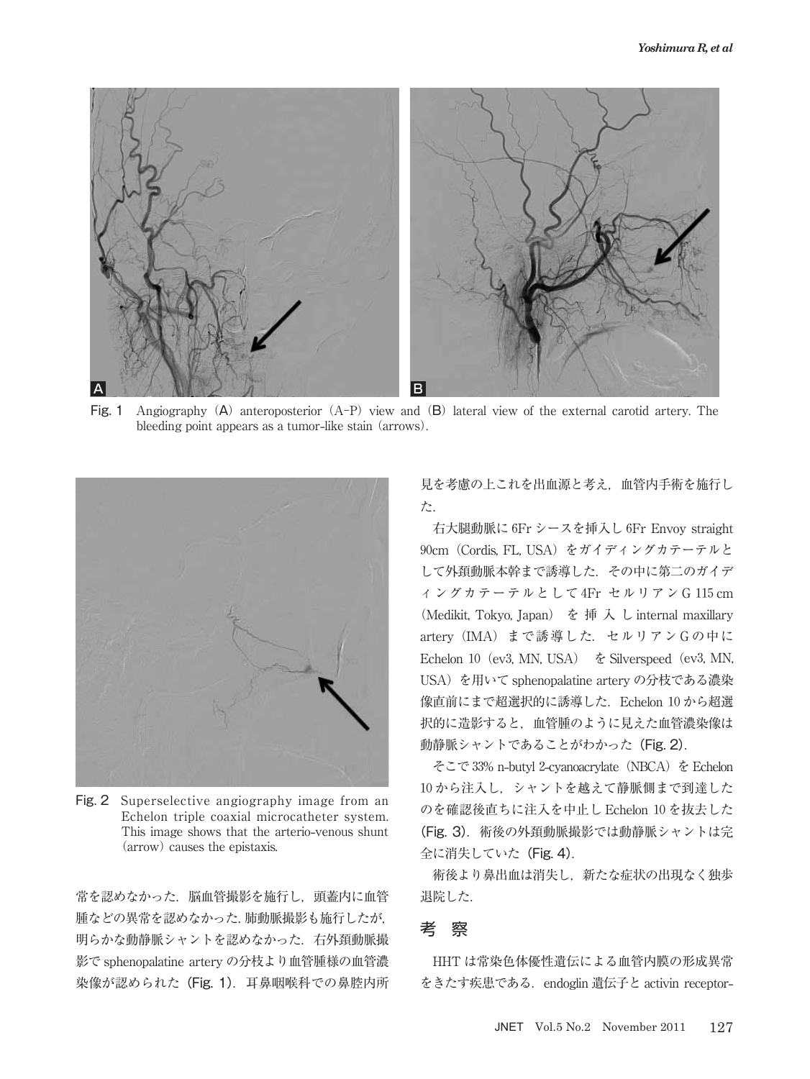

Fig. 1 Angiography (A) anteroposterior (A-P) view and (B) lateral view of the external carotid artery. The bleeding point appears as a tumor**-**like stain (arrows).



Fig. 2 Superselective angiography image from an Echelon triple coaxial microcatheter system. This image shows that the arterio**-**venous shunt (arrow) causes the epistaxis.

常を認めなかった. 脳血管撮影を施行し、頭蓋内に血管 腫などの異常を認めなかった.肺動脈撮影も施行したが, 明らかな動静脈シャントを認めなかった.右外頚動脈撮 影で sphenopalatine artery の分枝より血管腫様の血管濃 染像が認められた (Fig. 1). 耳鼻咽喉科での鼻腔内所 見を考慮の上これを出血源と考え,血管内手術を施行し た.

右大腿動脈に 6Fr シースを挿入し 6Fr Envoy straight 90cm(Cordis, FL, USA)をガイディングカテーテルと して外頚動脈本幹まで誘導した.その中に第二のガイデ ィングカテーテルとして 4Fr セルリアン G 115 cm (Medikit, Tokyo, Japan) を 挿 入 し internal maxillary artery (IMA) まで誘導した. セルリアン Gの中に Echelon 10 (ev3, MN, USA)  $\&$  Silverspeed (ev3, MN, USA)を用いて sphenopalatine artery の分枝である濃染 像直前にまで超選択的に誘導した.Echelon 10 から超選 択的に造影すると,血管腫のように見えた血管濃染像は 動静脈シャントであることがわかった (Fig. 2).

そこで 33% n**-**butyl 2**-**cyanoacrylate(NBCA)を Echelon 10 から注入し,シャントを越えて静脈側まで到達した のを確認後直ちに注入を中止し Echelon 10 を抜去した (Fig. 3). 術後の外頚動脈撮影では動静脈シャントは完 全に消失していた(Fig. 4).

術後より鼻出血は消失し,新たな症状の出現なく独歩 退院した.

## 考 察

HHT は常染色体優性遺伝による血管内膜の形成異常 をきたす疾患である. endoglin 遺伝子と activin receptor-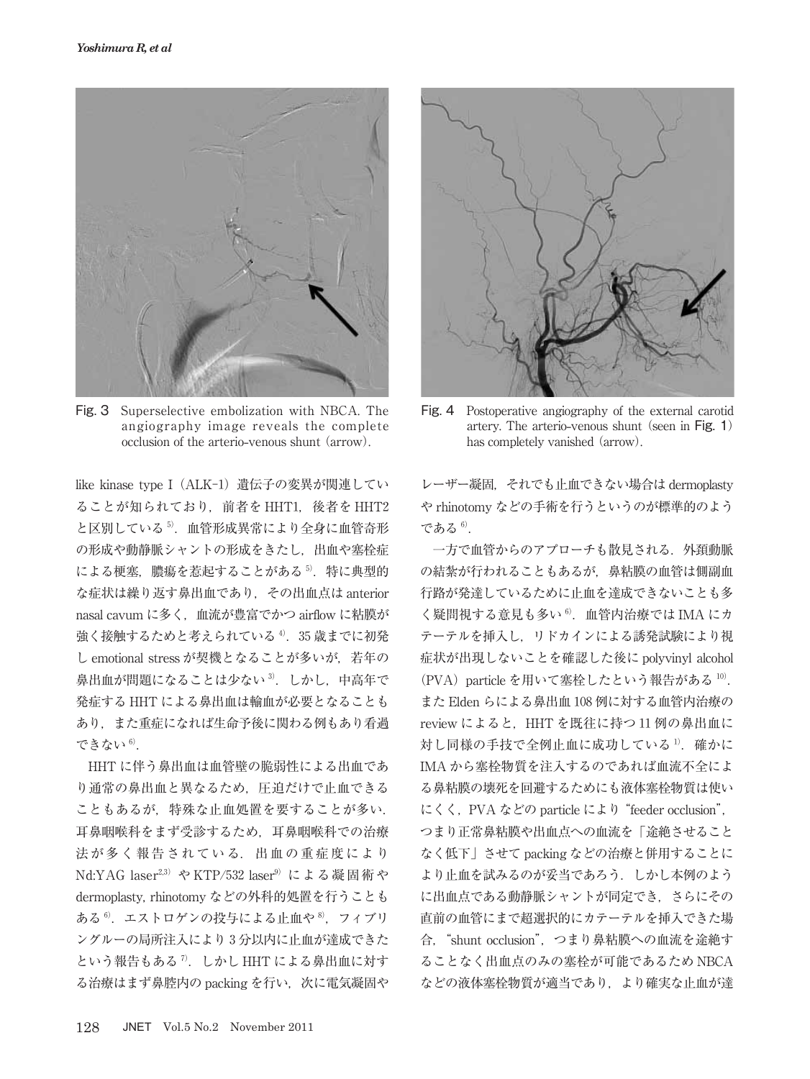

Fig. 3 Superselective embolization with NBCA. The angiography image reveals the complete occlusion of the arterio**-**venous shunt (arrow).

like kinase type I (ALK-1) 遺伝子の変異が関連してい ることが知られており,前者を HHT1,後者を HHT2 と区別している <sup>5</sup>).血管形成異常により全身に血管奇形 の形成や動静脈シャントの形成をきたし,出血や塞栓症 による梗塞. 膿瘍を惹起することがある<sup>5)</sup>. 特に典型的 な症状は繰り返す鼻出血であり,その出血点は anterior nasal cavum に多く,血流が豊富でかつ airflow に粘膜が 強く接触するためと考えられている4). 35 歳までに初発 し emotional stress が契機となることが多いが、若年の 鼻出血が問題になることは少ない<sup>3)</sup>. しかし、中高年で 発症する HHT による鼻出血は輸血が必要となることも あり,また重症になれば生命予後に関わる例もあり看過 できない 6).

HHT に伴う鼻出血は血管壁の脆弱性による出血であ り通常の鼻出血と異なるため,圧迫だけで止血できる こともあるが,特殊な止血処置を要することが多い. 耳鼻咽喉科をまず受診するため,耳鼻咽喉科での治療 法が多く報告されている. 出血の重症度により Nd:YAG laser<sup>2,3)</sup> や KTP/532 laser<sup>9)</sup> による凝固術や dermoplasty, rhinotomy などの外科的処置を行うことも ある<sup>6</sup>. エストロゲンの投与による止血や<sup>8</sup>, フィブリ ングルーの局所注入により 3 分以内に止血が達成できた という報告もある<sup>7</sup>. しかし HHT による鼻出血に対す る治療はまず鼻腔内の packing を行い、次に電気凝固や



Fig. 4 Postoperative angiography of the external carotid artery. The arterio**-**venous shunt (seen in Fig. 1) has completely vanished (arrow).

レーザー凝固,それでも止血できない場合は dermoplasty や rhinotomy などの手術を行うというのが標準的のよう である <sup>6</sup>).

一方で血管からのアプローチも散見される.外頚動脈 の結紮が行われることもあるが,鼻粘膜の血管は側副血 行路が発達しているために止血を達成できないことも多 く疑問視する意見も多い<sup>6</sup>. 血管内治療では IMA にカ テーテルを挿入し,リドカインによる誘発試験により視 症状が出現しないことを確認した後に polyvinyl alcohol (PVA) particle を用いて塞栓したという報告がある 10). また Elden らによる鼻出血 108 例に対する血管内治療の review によると、HHT を既往に持つ11 例の鼻出血に 対し同様の手技で全例止血に成功している<sup>1)</sup>. 確かに IMA から塞栓物質を注入するのであれば血流不全によ る鼻粘膜の壊死を回避するためにも液体塞栓物質は使い にくく,PVA などの particle により"feeder occlusion", つまり正常鼻粘膜や出血点への血流を「途絶させること なく低下」させて packing などの治療と併用することに より止血を試みるのが妥当であろう.しかし本例のよう に出血点である動静脈シャントが同定でき,さらにその 直前の血管にまで超選択的にカテーテルを挿入できた場 合,"shunt occlusion",つまり鼻粘膜への血流を途絶す ることなく出血点のみの塞栓が可能であるため NBCA などの液体塞栓物質が適当であり,より確実な止血が達